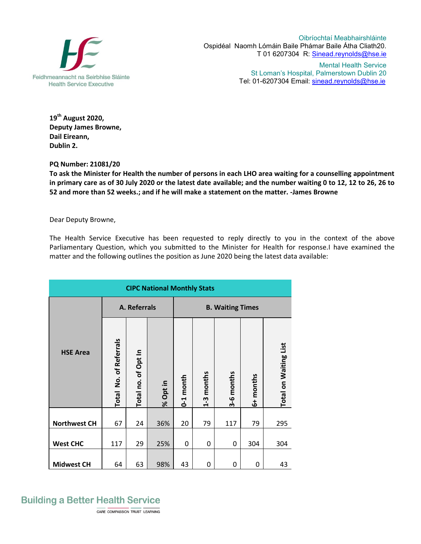

Oibríochtaí Meabhairshláinte Ospidéal Naomh Lómáin Baile Phámar Baile Átha Cliath20. T 01 6207304 R: Sinead.reynolds@hse.ie

> Mental Health Service St Loman's Hospital, Palmerstown Dublin 20 Tel: 01-6207304 Email: sinead.reynolds@hse.ie

**19 th August 2020, Deputy James Browne, Dail Eireann, Dublin 2.**

**PQ Number: 21081/20**

**To ask the Minister for Health the number of persons in each LHO area waiting for a counselling appointment in primary care as of 30 July 2020 or the latest date available; and the number waiting 0 to 12, 12 to 26, 26 to 52 and more than 52 weeks.; and if he will make a statement on the matter. -James Browne**

Dear Deputy Browne,

The Health Service Executive has been requested to reply directly to you in the context of the above Parliamentary Question, which you submitted to the Minister for Health for response.I have examined the matter and the following outlines the position as June 2020 being the latest data available:

| <b>CIPC National Monthly Stats</b> |                           |                     |          |                         |            |            |           |                       |  |  |
|------------------------------------|---------------------------|---------------------|----------|-------------------------|------------|------------|-----------|-----------------------|--|--|
| <b>HSE Area</b>                    | A. Referrals              |                     |          | <b>B. Waiting Times</b> |            |            |           |                       |  |  |
|                                    | No. of Referrals<br>Total | Total no. of Opt In | % Opt in | month<br>$6 - 1$        | 1-3 months | 3-6 months | 6+ months | Total on Waiting List |  |  |
| <b>Northwest CH</b>                | 67                        | 24                  | 36%      | 20                      | 79         | 117        | 79        | 295                   |  |  |
| <b>West CHC</b>                    | 117                       | 29                  | 25%      | 0                       | 0          | 0          | 304       | 304                   |  |  |
| <b>Midwest CH</b>                  | 64                        | 63                  | 98%      | 43                      | 0          | 0          | 0         | 43                    |  |  |

## **Building a Better Health Service**

CARE COMPASSION TRUST LEARNING